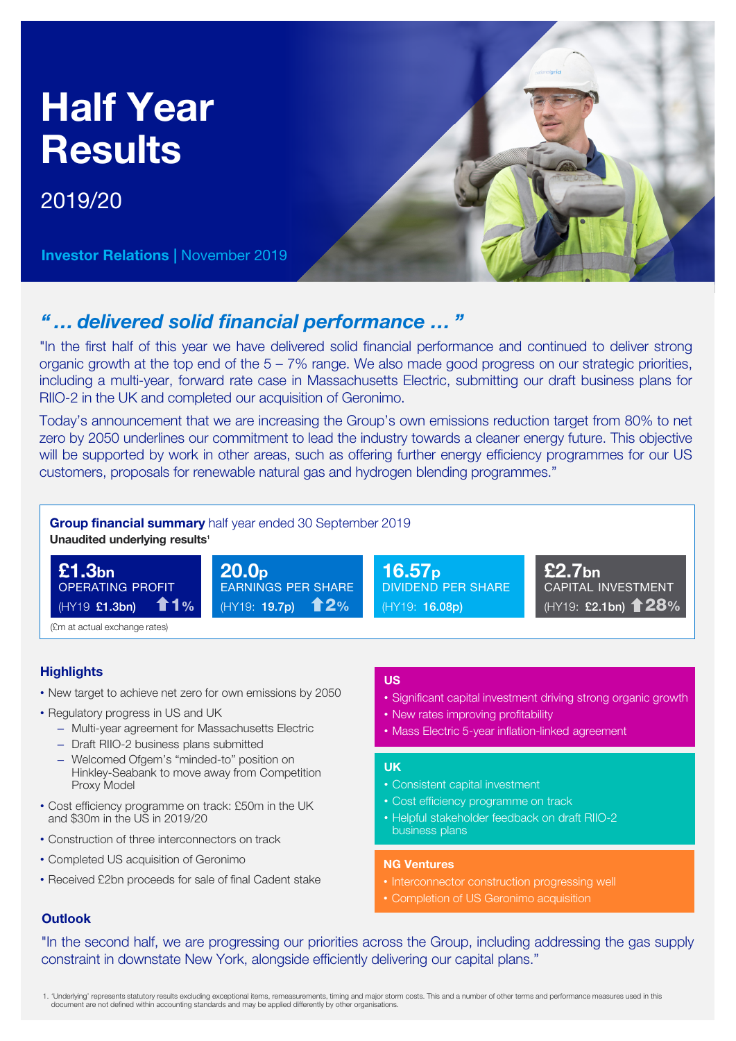# Half Year **Results**

2019/20

Investor Relations | November 2019



# *" … delivered solid financial performance … "*

"In the first half of this year we have delivered solid financial performance and continued to deliver strong organic growth at the top end of the 5 – 7% range. We also made good progress on our strategic priorities, including a multi-year, forward rate case in Massachusetts Electric, submitting our draft business plans for RIIO-2 in the UK and completed our acquisition of Geronimo.

Today's announcement that we are increasing the Group's own emissions reduction target from 80% to net zero by 2050 underlines our commitment to lead the industry towards a cleaner energy future. This objective will be supported by work in other areas, such as offering further energy efficiency programmes for our US customers, proposals for renewable natural gas and hydrogen blending programmes."



# **Highlights**

- New target to achieve net zero for own emissions by 2050
- Regulatory progress in US and UK
	- Multi-year agreement for Massachusetts Electric
	- Draft RIIO-2 business plans submitted
	- Welcomed Ofgem's "minded-to" position on Hinkley-Seabank to move away from Competition Proxy Model
- Cost efficiency programme on track: £50m in the UK and \$30m in the US in 2019/20
- Construction of three interconnectors on track
- Completed US acquisition of Geronimo
- Received £2bn proceeds for sale of final Cadent stake

### US

- Significant capital investment driving strong organic growth
- New rates improving profitability
- Mass Electric 5-year inflation-linked agreement

### UK

- Consistent capital investment
- Cost efficiency programme on track
- Helpful stakeholder feedback on draft RIIO-2 business plans

## NG Ventures

- Interconnector construction progressing well
- Completion of US Geronimo acquisition

# **Outlook**

"In the second half, we are progressing our priorities across the Group, including addressing the gas supply constraint in downstate New York, alongside efficiently delivering our capital plans."

1. 'Underlying' represents statutory results excluding exceptional items, remeasurements, timing and major storm costs. This and a number of other terms and performance measures used in this document are not defined within accounting standards and may be applied differently by other organisations.